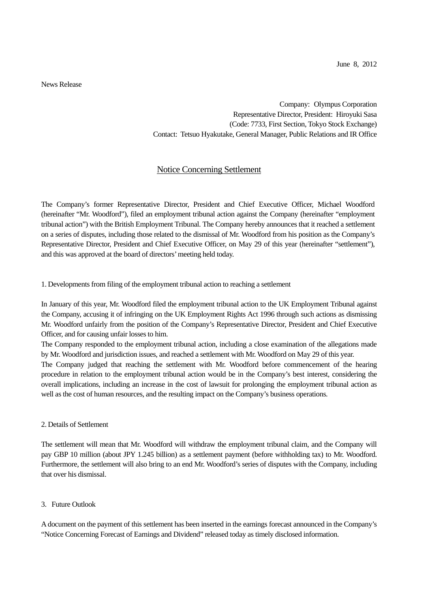News Release

Company: Olympus Corporation Representative Director, President: Hiroyuki Sasa (Code: 7733, First Section, Tokyo Stock Exchange) Contact: Tetsuo Hyakutake, General Manager, Public Relations and IR Office

## Notice Concerning Settlement

The Company's former Representative Director, President and Chief Executive Officer, Michael Woodford (hereinafter "Mr. Woodford"), filed an employment tribunal action against the Company (hereinafter "employment tribunal action") with the British Employment Tribunal. The Company hereby announces that it reached a settlement on a series of disputes, including those related to the dismissal of Mr. Woodford from his position as the Company's Representative Director, President and Chief Executive Officer, on May 29 of this year (hereinafter "settlement"), and this was approved at the board of directors' meeting held today.

1. Developments from filing of the employment tribunal action to reaching a settlement

In January of this year, Mr. Woodford filed the employment tribunal action to the UK Employment Tribunal against the Company, accusing it of infringing on the UK Employment Rights Act 1996 through such actions as dismissing Mr. Woodford unfairly from the position of the Company's Representative Director, President and Chief Executive Officer, and for causing unfair losses to him.

The Company responded to the employment tribunal action, including a close examination of the allegations made by Mr. Woodford and jurisdiction issues, and reached a settlement with Mr. Woodford on May 29 of this year.

The Company judged that reaching the settlement with Mr. Woodford before commencement of the hearing procedure in relation to the employment tribunal action would be in the Company's best interest, considering the overall implications, including an increase in the cost of lawsuit for prolonging the employment tribunal action as well as the cost of human resources, and the resulting impact on the Company's business operations.

## 2. Details of Settlement

The settlement will mean that Mr. Woodford will withdraw the employment tribunal claim, and the Company will pay GBP 10 million (about JPY 1.245 billion) as a settlement payment (before withholding tax) to Mr. Woodford. Furthermore, the settlement will also bring to an end Mr. Woodford's series of disputes with the Company, including that over his dismissal.

## 3. Future Outlook

A document on the payment of this settlement has been inserted in the earnings forecast announced in the Company's "Notice Concerning Forecast of Earnings and Dividend" released today as timely disclosed information.